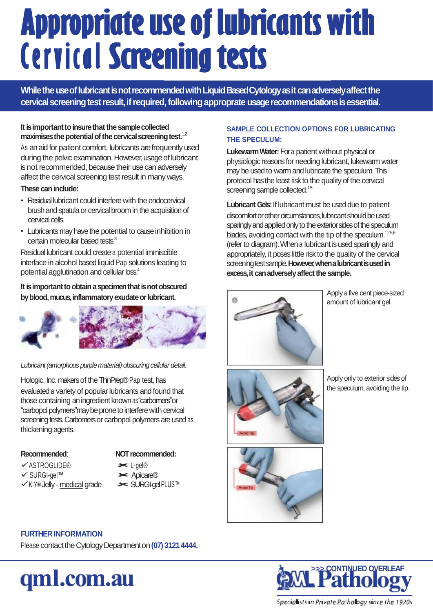# **Appropriate use of lubricants with Cervical Screening tests**

While the use of lubricant is not recommended with Liquid Based Cytology as it can adversely affect the cervical screening test result, if required, following approprate usage recommendations is essential.

#### It is important to insure that the sample collected maximises the potential of the cervical screening test.<sup>1,2</sup>

As an aid for patient comfort, lubricants are frequently used during the pelvic examination. However, usage of lubricant is not recommended, because their use can adversely affect the cervical screening test result in many ways.

#### **These caninclude:**

- Residuallubricant could interfere with the endocervical brush and spatula or cervical broom in the acquisition of cervical cells.
- Lubricants may have the potential to cause inhibition in certain molecular based tests.<sup>3</sup>

Residual lubricant could createa potential immiscible interface in alcohol based liquid Pap solutions leading to potential agglutination and cellular loss.<sup>4</sup>

It is important to obtain a specimen that is not obscured by blood, mucus, inflammatory exudate or lubricant.



#### *Lubricant(amorphous purplematerial) obscuringcellular detail.*

Hologic, Inc. makers of the ThinPrep®Pap test, has evaluated a variety of popular lubricants and found that those containing an ingredient known as "carbomers" or "carbopol polymers"may be prone to interfere with cervical screening tests. Carbomers or carbopol polymers are used as thickening agents.

#### **Recommended**:

- 
- ASTROGLIDE®
- SURGI-gel™
- $\checkmark$ K-Y® Jelly medical grade
- **NOT recommended:**
- L-gel®
- **>< Aplicare®**
- SURGI-gel PLUS™

#### **SAMPLE COLLECTION OPTIONS FOR LUBRICATING THE SPECULUM:**

**LukewarmWater:**Fora patient without physical or physiologic reasons for needing lubricant, lukewarm water may be used to warm and lubricate the speculum. This protocol has the least risk to the quality of the cervical screening sample collected.<sup>1,5</sup>

**Lubricant Gels:** If lubricant must be used due to patient discomfort or other circumstances, lubricant should be used sparingly and applied only to the exterior sides of the speculum blades, avoiding contact with the tip of the speculum. $125,6$ (refer to diagram). When a lubricant is used sparingly and appropriately, it poseslittle risk to the quality of the cervical screening test sample. However, when a lubricant is used in **excess, it can adversely affect the sample.** 



Apply a five cent piece-sized amount of lubricant gel.



Apply only to exterior sides of the speculum, avoiding the tip.



#### **FURTHER INFORMATION**

Please contact the Cytology Department on (07) 3121 4444.

### qml.com.au



Speciallists in Private Pathollogy since the 1920s